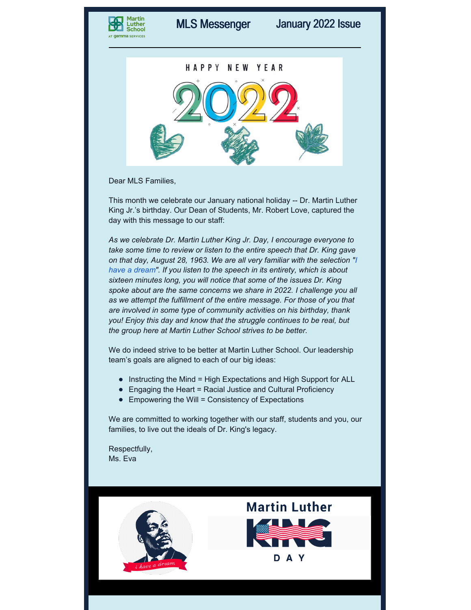



Dear MLS Families,

This month we celebrate our January national holiday -- Dr. Martin Luther King Jr.'s birthday. Our Dean of Students, Mr. Robert Love, captured the day with this message to our staff:

*As we celebrate Dr. Martin Luther King Jr. Day, I encourage everyone to take some time to review or listen to the entire speech that Dr. King gave on that day, August 28, 1963. We are all very familiar with the [selection](https://www.americanrhetoric.com/speeches/mlkihaveadream.htm) "I have a dream". If you listen to the speech in its entirety, which is about sixteen minutes long, you will notice that some of the issues Dr. King spoke about are the same concerns we share in 2022. I challenge you all as we attempt the fulfillment of the entire message. For those of you that are involved in some type of community activities on his birthday, thank you! Enjoy this day and know that the struggle continues to be real, but the group here at Martin Luther School strives to be better.*

We do indeed strive to be better at Martin Luther School. Our leadership team's goals are aligned to each of our big ideas:

- Instructing the Mind = High Expectations and High Support for ALL
- Engaging the Heart = Racial Justice and Cultural Proficiency
- $\bullet$  Empowering the Will = Consistency of Expectations

We are committed to working together with our staff, students and you, our families, to live out the ideals of Dr. King's legacy.

Respectfully, Ms. Eva

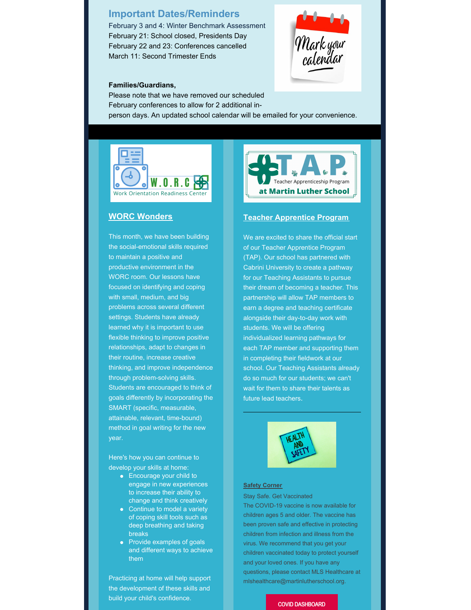# **Important Dates/Reminders**

February 3 and 4: Winter Benchmark Assessment February 21: School closed, Presidents Day February 22 and 23: Conferences cancelled March 11: Second Trimester Ends



### **Families/Guardians,**

Please note that we have removed our scheduled February conferences to allow for 2 additional inperson days. An updated school calendar will be emailed for your convenience.



## **WORC Wonders**

This month, we have been building the social-emotional skills required to maintain a positive and productive environment in the WORC room. Our lessons have focused on identifying and coping with small, medium, and big problems across several different settings. Students have already learned why it is important to use flexible thinking to improve positive relationships, adapt to changes in their routine, increase creative thinking, and improve independence through problem-solving skills. Students are encouraged to think of goals differently by incorporating the SMART (specific, measurable, attainable, relevant, time-bound) method in goal writing for the new year.

Here's how you can continue to develop your skills at home:

- Encourage your child to engage in new experiences to increase their ability to change and think creatively
- Continue to model a variety of coping skill tools such as deep breathing and taking breaks
- Provide examples of goals and different ways to achieve them

Practicing at home will help support the development of these skills and build your child's confidence.



#### **Teacher Apprentice Program**

We are excited to share the official start of our Teacher Apprentice Program (TAP). Our school has partnered with Cabrini University to create a pathway for our Teaching Assistants to pursue their dream of becoming a teacher. This partnership will allow TAP members to earn a degree and teaching certificate alongside their day-to-day work with students. We will be offering individualized learning pathways for each TAP member and supporting them in completing their fieldwork at our school. Our Teaching Assistants already do so much for our students; we can't wait for them to share their talents as future lead teachers.



#### **Safety Corner**

Stay Safe. Get Vaccinated

The COVID-19 vaccine is now available for children ages 5 and older. The vaccine has been proven safe and effective in protecting children from infection and illness from the virus. We recommend that you get your children vaccinated today to protect yourself and your loved ones. If you have any questions, please contact MLS Healthcare at mlshealthcare@martinlutherschool.org.

#### COVID [DASHBOARD](https://docs.google.com/spreadsheets/d/1wRbcAvRJUaxspa-PrYy7Fh3CCksGPNMc/edit#gid=303832991)